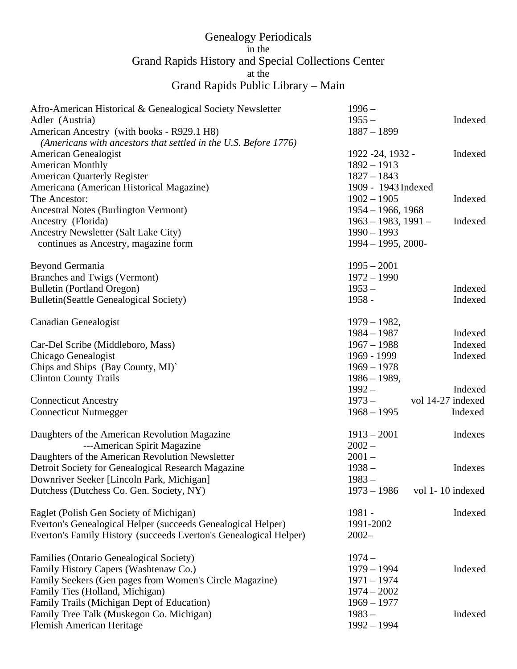## Genealogy Periodicals<br>in the in the Grand Rapids History and Special Collections Center at the Grand Rapids Public Library – Main

| Afro-American Historical & Genealogical Society Newsletter        | $1996 -$                 |                   |
|-------------------------------------------------------------------|--------------------------|-------------------|
| Adler (Austria)                                                   | $1955 -$                 | Indexed           |
| American Ancestry (with books - R929.1 H8)                        | $1887 - 1899$            |                   |
| (Americans with ancestors that settled in the U.S. Before 1776)   |                          |                   |
| American Genealogist                                              | 1922 - 24, 1932 -        | Indexed           |
| <b>American Monthly</b>                                           | $1892 - 1913$            |                   |
| <b>American Quarterly Register</b>                                | $1827 - 1843$            |                   |
| Americana (American Historical Magazine)                          | 1909 - 1943 Indexed      |                   |
| The Ancestor:                                                     | $1902 - 1905$            | Indexed           |
| <b>Ancestral Notes (Burlington Vermont)</b>                       | $1954 - 1966$ , 1968     |                   |
| Ancestry (Florida)                                                | $1963 - 1983$ , $1991 -$ | Indexed           |
| Ancestry Newsletter (Salt Lake City)                              | $1990 - 1993$            |                   |
| continues as Ancestry, magazine form                              | $1994 - 1995, 2000$ -    |                   |
|                                                                   |                          |                   |
| Beyond Germania                                                   | $1995 - 2001$            |                   |
| Branches and Twigs (Vermont)                                      | $1972 - 1990$            |                   |
| <b>Bulletin (Portland Oregon)</b>                                 | $1953-$                  | Indexed           |
| <b>Bulletin(Seattle Genealogical Society)</b>                     | 1958 -                   | Indexed           |
|                                                                   |                          |                   |
| Canadian Genealogist                                              | $1979 - 1982,$           |                   |
|                                                                   | $1984 - 1987$            | Indexed           |
| Car-Del Scribe (Middleboro, Mass)                                 | $1967 - 1988$            | Indexed           |
| Chicago Genealogist                                               | 1969 - 1999              | Indexed           |
| Chips and Ships (Bay County, MI)'                                 | $1969 - 1978$            |                   |
| <b>Clinton County Trails</b>                                      | $1986 - 1989,$           |                   |
|                                                                   | $1992 -$                 | Indexed           |
|                                                                   |                          | vol 14-27 indexed |
| <b>Connecticut Ancestry</b>                                       | $1973-$                  |                   |
| <b>Connecticut Nutmegger</b>                                      | $1968 - 1995$            | Indexed           |
| Daughters of the American Revolution Magazine                     | $1913 - 2001$            | Indexes           |
| ---American Spirit Magazine                                       | $2002 -$                 |                   |
|                                                                   | $2001 -$                 |                   |
| Daughters of the American Revolution Newsletter                   |                          |                   |
| Detroit Society for Genealogical Research Magazine                | $1938 -$                 | Indexes           |
| Downriver Seeker [Lincoln Park, Michigan]                         | $1983 -$                 |                   |
| Dutchess (Dutchess Co. Gen. Society, NY)                          | $1973 - 1986$            | vol 1-10 indexed  |
| Eaglet (Polish Gen Society of Michigan)                           | 1981 -                   | Indexed           |
| Everton's Genealogical Helper (succeeds Genealogical Helper)      | 1991-2002                |                   |
|                                                                   | $2002 -$                 |                   |
| Everton's Family History (succeeds Everton's Genealogical Helper) |                          |                   |
| Families (Ontario Genealogical Society)                           | $1974-$                  |                   |
| Family History Capers (Washtenaw Co.)                             | $1979 - 1994$            | Indexed           |
| Family Seekers (Gen pages from Women's Circle Magazine)           | $1971 - 1974$            |                   |
| Family Ties (Holland, Michigan)                                   | $1974 - 2002$            |                   |
|                                                                   |                          |                   |
| Family Trails (Michigan Dept of Education)                        | $1969 - 1977$            |                   |
| Family Tree Talk (Muskegon Co. Michigan)                          | $1983 -$                 | Indexed           |
| <b>Flemish American Heritage</b>                                  | $1992 - 1994$            |                   |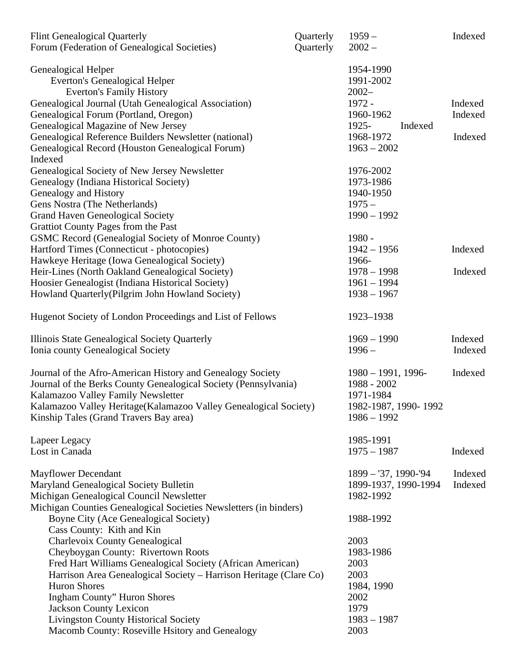| <b>Flint Genealogical Quarterly</b>                               | Quarterly | $1959-$                | Indexed |
|-------------------------------------------------------------------|-----------|------------------------|---------|
| Forum (Federation of Genealogical Societies)                      | Quarterly | $2002 -$               |         |
| Genealogical Helper                                               |           | 1954-1990              |         |
| <b>Everton's Genealogical Helper</b>                              |           | 1991-2002              |         |
| <b>Everton's Family History</b>                                   |           | $2002 -$               |         |
| Genealogical Journal (Utah Genealogical Association)              |           | 1972 -                 | Indexed |
| Genealogical Forum (Portland, Oregon)                             |           | 1960-1962              | Indexed |
| Genealogical Magazine of New Jersey                               |           | 1925-<br>Indexed       |         |
| Genealogical Reference Builders Newsletter (national)             |           | 1968-1972              | Indexed |
| Genealogical Record (Houston Genealogical Forum)                  |           | $1963 - 2002$          |         |
| Indexed                                                           |           |                        |         |
| Genealogical Society of New Jersey Newsletter                     |           | 1976-2002              |         |
| Genealogy (Indiana Historical Society)                            |           | 1973-1986              |         |
|                                                                   |           | 1940-1950              |         |
| Genealogy and History                                             |           |                        |         |
| Gens Nostra (The Netherlands)                                     |           | $1975 -$               |         |
| <b>Grand Haven Geneological Society</b>                           |           | $1990 - 1992$          |         |
| Grattiot County Pages from the Past                               |           |                        |         |
| GSMC Record (Genealogial Society of Monroe County)                |           | 1980 -                 |         |
| Hartford Times (Connecticut - photocopies)                        |           | $1942 - 1956$          | Indexed |
| Hawkeye Heritage (Iowa Genealogical Society)                      |           | 1966-                  |         |
| Heir-Lines (North Oakland Genealogical Society)                   |           | $1978 - 1998$          | Indexed |
| Hoosier Genealogist (Indiana Historical Society)                  |           | $1961 - 1994$          |         |
| Howland Quarterly (Pilgrim John Howland Society)                  |           | $1938 - 1967$          |         |
| Hugenot Society of London Proceedings and List of Fellows         |           | 1923-1938              |         |
| Illinois State Genealogical Society Quarterly                     |           | $1969 - 1990$          | Indexed |
| Ionia county Genealogical Society                                 |           | $1996-$                | Indexed |
|                                                                   |           |                        |         |
| Journal of the Afro-American History and Genealogy Society        |           | $1980 - 1991$ , 1996-  | Indexed |
| Journal of the Berks County Genealogical Society (Pennsylvania)   |           | 1988 - 2002            |         |
| Kalamazoo Valley Family Newsletter                                |           | 1971-1984              |         |
| Kalamazoo Valley Heritage(Kalamazoo Valley Genealogical Society)  |           | 1982-1987, 1990-1992   |         |
|                                                                   |           | $1986 - 1992$          |         |
| Kinship Tales (Grand Travers Bay area)                            |           |                        |         |
| Lapeer Legacy                                                     |           | 1985-1991              |         |
| Lost in Canada                                                    |           | $1975 - 1987$          | Indexed |
| <b>Mayflower Decendant</b>                                        |           | $1899 - 37, 1990 - 94$ | Indexed |
| Maryland Genealogical Society Bulletin                            |           | 1899-1937, 1990-1994   | Indexed |
| Michigan Genealogical Council Newsletter                          |           | 1982-1992              |         |
| Michigan Counties Genealogical Societies Newsletters (in binders) |           |                        |         |
| Boyne City (Ace Genealogical Society)                             |           | 1988-1992              |         |
| Cass County: Kith and Kin                                         |           |                        |         |
| Charlevoix County Genealogical                                    |           | 2003                   |         |
| Cheyboygan County: Rivertown Roots                                |           | 1983-1986              |         |
| Fred Hart Williams Genealogical Society (African American)        |           | 2003                   |         |
| Harrison Area Genealogical Society - Harrison Heritage (Clare Co) |           | 2003                   |         |
| <b>Huron Shores</b>                                               |           | 1984, 1990             |         |
| <b>Ingham County</b> " Huron Shores                               |           | 2002                   |         |
| <b>Jackson County Lexicon</b>                                     |           | 1979                   |         |
| <b>Livingston County Historical Society</b>                       |           | $1983 - 1987$          |         |
| Macomb County: Roseville Hsitory and Genealogy                    |           | 2003                   |         |
|                                                                   |           |                        |         |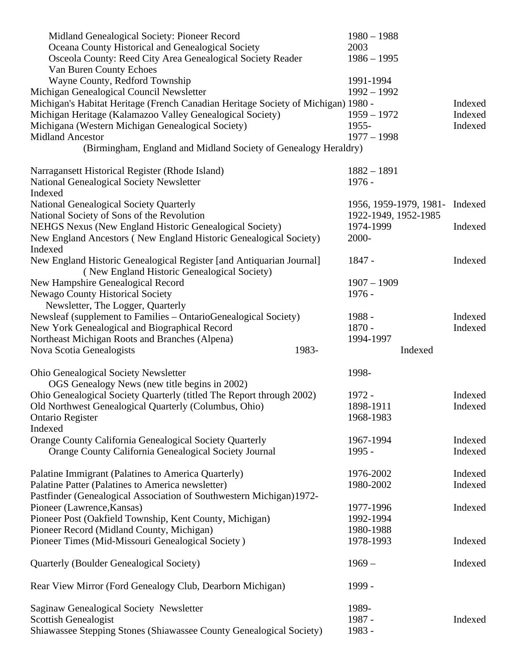| Midland Genealogical Society: Pioneer Record                                        | $1980 - 1988$                  |         |
|-------------------------------------------------------------------------------------|--------------------------------|---------|
| Oceana County Historical and Genealogical Society                                   | 2003                           |         |
| Osceola County: Reed City Area Genealogical Society Reader                          | $1986 - 1995$                  |         |
| Van Buren County Echoes                                                             |                                |         |
| Wayne County, Redford Township                                                      | 1991-1994                      |         |
| Michigan Genealogical Council Newsletter                                            | $1992 - 1992$                  |         |
| Michigan's Habitat Heritage (French Canadian Heritage Society of Michigan) 1980 -   |                                | Indexed |
| Michigan Heritage (Kalamazoo Valley Genealogical Society)                           | $1959 - 1972$                  | Indexed |
| Michigana (Western Michigan Genealogical Society)                                   | 1955-                          | Indexed |
| <b>Midland Ancestor</b>                                                             | $1977 - 1998$                  |         |
| (Birmingham, England and Midland Society of Genealogy Heraldry)                     |                                |         |
|                                                                                     |                                |         |
| Narragansett Historical Register (Rhode Island)                                     | $1882 - 1891$                  |         |
| National Genealogical Society Newsletter                                            | $1976 -$                       |         |
| Indexed                                                                             |                                |         |
| National Genealogical Society Quarterly                                             | 1956, 1959-1979, 1981- Indexed |         |
| National Society of Sons of the Revolution                                          | 1922-1949, 1952-1985           |         |
| NEHGS Nexus (New England Historic Genealogical Society)                             | 1974-1999                      | Indexed |
| New England Ancestors (New England Historic Genealogical Society)                   | 2000-                          |         |
| Indexed                                                                             |                                |         |
| New England Historic Genealogical Register [and Antiquarian Journal]                | 1847 -                         | Indexed |
| (New England Historic Genealogical Society)                                         |                                |         |
| New Hampshire Genealogical Record                                                   | $1907 - 1909$                  |         |
| <b>Newago County Historical Society</b>                                             | $1976 -$                       |         |
| Newsletter, The Logger, Quarterly                                                   |                                |         |
| Newsleaf (supplement to Families – OntarioGenealogical Society)                     | 1988 -                         | Indexed |
| New York Genealogical and Biographical Record                                       | $1870 -$                       | Indexed |
|                                                                                     | 1994-1997                      |         |
| Northeast Michigan Roots and Branches (Alpena)<br>1983-<br>Nova Scotia Genealogists | Indexed                        |         |
|                                                                                     |                                |         |
| Ohio Genealogical Society Newsletter                                                | 1998-                          |         |
| OGS Genealogy News (new title begins in 2002)                                       |                                |         |
|                                                                                     | 1972 -                         | Indexed |
| Ohio Genealogical Society Quarterly (titled The Report through 2002)                | 1898-1911                      | Indexed |
| Old Northwest Genealogical Quarterly (Columbus, Ohio)                               | 1968-1983                      |         |
| <b>Ontario Register</b>                                                             |                                |         |
| Indexed                                                                             |                                |         |
| Orange County California Genealogical Society Quarterly                             | 1967-1994                      | Indexed |
| Orange County California Genealogical Society Journal                               | 1995 -                         | Indexed |
|                                                                                     |                                |         |
| Palatine Immigrant (Palatines to America Quarterly)                                 | 1976-2002                      | Indexed |
| Palatine Patter (Palatines to America newsletter)                                   | 1980-2002                      | Indexed |
| Pastfinder (Genealogical Association of Southwestern Michigan)1972-                 |                                |         |
| Pioneer (Lawrence, Kansas)                                                          | 1977-1996                      | Indexed |
| Pioneer Post (Oakfield Township, Kent County, Michigan)                             | 1992-1994                      |         |
| Pioneer Record (Midland County, Michigan)                                           | 1980-1988                      |         |
| Pioneer Times (Mid-Missouri Genealogical Society)                                   | 1978-1993                      | Indexed |
|                                                                                     | $1969-$                        | Indexed |
| Quarterly (Boulder Genealogical Society)                                            |                                |         |
| Rear View Mirror (Ford Genealogy Club, Dearborn Michigan)                           | 1999 -                         |         |
| Saginaw Genealogical Society Newsletter                                             | 1989-                          |         |
|                                                                                     | 1987 -                         |         |
| <b>Scottish Genealogist</b>                                                         |                                | Indexed |
| Shiawassee Stepping Stones (Shiawassee County Genealogical Society)                 | 1983 -                         |         |